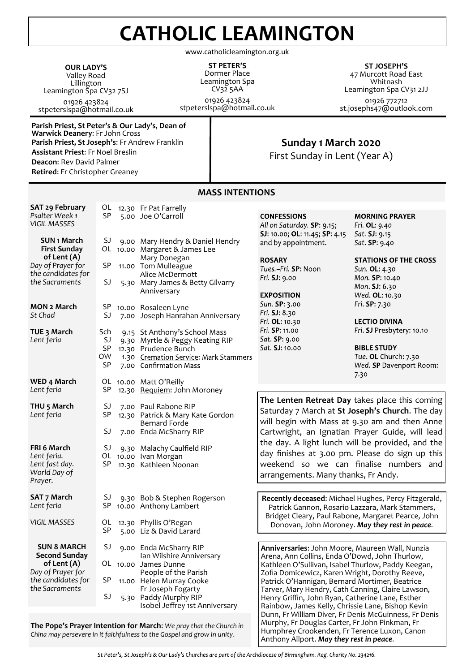# **CATHOLIC LEAMINGTON**

www.catholicleamington.org.uk

**OUR LADY'S** Valley Road Lillington Leamington Spa CV32 7SJ 01926 423824 stpeterslspa@hotmail.co.uk

**ST PETER'S** Dormer Place Leamington Spa CV32 5AA 01926 423824

stpeterslspa@hotmail.co.uk

**ST JOSEPH'S** 47 Murcott Road East Whitnash Leamington Spa CV31 2JJ 01926 772712 st.josephs47@outlook.com

**Parish Priest, St Peter's & Our Lady's**, **Dean of Warwick Deanery**: Fr John Cross **Parish Priest, St Joseph's**: Fr Andrew Franklin **Assistant Priest**: Fr Noel Breslin **Deacon**: Rev David Palmer **Retired**: Fr Christopher Greaney

### **Sunday 1 March 2020**

First Sunday in Lent (Year A)

|                                                        |            | כאוטוואונואוו ככרואו                                                   |                                                                                                                                                               |                                                   |
|--------------------------------------------------------|------------|------------------------------------------------------------------------|---------------------------------------------------------------------------------------------------------------------------------------------------------------|---------------------------------------------------|
| SAT 29 February                                        |            | OL 12.30 Fr Pat Farrelly                                               |                                                                                                                                                               |                                                   |
| Psalter Week 1<br><b>VIGIL MASSES</b>                  | <b>SP</b>  | 5.00 Joe O'Carroll                                                     | <b>CONFESSIONS</b><br>All on Saturday. SP: 9.15;                                                                                                              | <b>MORNING PRAYER</b><br>Fri. OL: 9.40            |
| <b>SUN 1 March</b><br><b>First Sunday</b>              | SJ         | 9.00 Mary Hendry & Daniel Hendry<br>OL 10.00 Margaret & James Lee      | SJ: 10.00; OL: 11.45; SP: 4.15<br>and by appointment.                                                                                                         | Sat. SJ: 9.15<br>Sat. SP: 9.40                    |
| of Lent (A)<br>Day of Prayer for<br>the candidates for | <b>SP</b>  | Mary Donegan<br>11.00 Tom Mulleague<br>Alice McDermott                 | <b>ROSARY</b><br>Tues.-Fri. SP: Noon                                                                                                                          | <b>STATIONS OF THE CROSS</b><br>Sun. OL: 4.30     |
| the Sacraments                                         | SJ         | 5.30 Mary James & Betty Gilvarry<br>Anniversary                        | Fri. SJ: 9.00<br><b>EXPOSITION</b>                                                                                                                            | Mon. SP: 10.40<br>Mon. SJ: 6.30<br>Wed. OL: 10.30 |
| MON 2 March                                            |            |                                                                        | Sun. SP: 3.00                                                                                                                                                 | Fri. SP: 7.30                                     |
| St Chad                                                | SP -<br>SJ | 10.00 Rosaleen Lyne<br>7.00 Joseph Hanrahan Anniversary                | Fri. SJ: 8.30<br>Fri. OL: 10.30                                                                                                                               | <b>LECTIO DIVINA</b>                              |
| TUE 3 March                                            | Sch        | 9.15 St Anthony's School Mass                                          | Fri. SP: 11.00                                                                                                                                                | Fri. SJ Presbytery: 10.10                         |
| Lent feria                                             | SJ         | 9.30 Myrtle & Peggy Keating RIP                                        | Sat. SP: 9.00                                                                                                                                                 |                                                   |
|                                                        | <b>SP</b>  | 12.30 Prudence Bunch                                                   | Sat. SJ: 10.00                                                                                                                                                | <b>BIBLE STUDY</b>                                |
|                                                        | 0W         | 1.30 Cremation Service: Mark Stammers                                  |                                                                                                                                                               | Tue. OL Church: 7.30                              |
|                                                        | <b>SP</b>  | 7.00 Confirmation Mass                                                 |                                                                                                                                                               | Wed. SP Davenport Room:<br>7.30                   |
| WED 4 March                                            |            | OL 10.00 Matt O'Reilly                                                 |                                                                                                                                                               |                                                   |
| Lent feria                                             | <b>SP</b>  | 12.30 Requiem: John Moroney                                            |                                                                                                                                                               |                                                   |
| THU <sub>5</sub> March                                 | SJ         | 7.00 Paul Rabone RIP                                                   |                                                                                                                                                               | The Lenten Retreat Day takes place this coming    |
| Lent feria                                             | <b>SP</b>  | 12.30 Patrick & Mary Kate Gordon                                       |                                                                                                                                                               | Saturday 7 March at St Joseph's Church. The day   |
|                                                        |            | <b>Bernard Forde</b>                                                   |                                                                                                                                                               | will begin with Mass at 9.30 am and then Anne     |
|                                                        | SJ         | 7.00 Enda McSharry RIP                                                 |                                                                                                                                                               | Cartwright, an Ignatian Prayer Guide, will lead   |
|                                                        |            |                                                                        |                                                                                                                                                               |                                                   |
| FRI 6 March                                            | SJ         | 9.30 Malachy Caulfield RIP                                             |                                                                                                                                                               | the day. A light lunch will be provided, and the  |
| Lent feria.                                            |            | OL 10.00 Ivan Morgan                                                   |                                                                                                                                                               | day finishes at 3.00 pm. Please do sign up this   |
| Lent fast day.<br>World Day of<br>Prayer.              | SP.        | 12.30 Kathleen Noonan                                                  | weekend so we can finalise numbers and<br>arrangements. Many thanks, Fr Andy.                                                                                 |                                                   |
|                                                        |            |                                                                        |                                                                                                                                                               |                                                   |
| <b>SAT 7 March</b><br>Lent feria                       | SJ<br>SP - | 9.30 Bob & Stephen Rogerson<br>10.00 Anthony Lambert                   | Recently deceased: Michael Hughes, Percy Fitzgerald,<br>Patrick Gannon, Rosario Lazzara, Mark Stammers,<br>Bridget Cleary, Paul Rabone, Margaret Pearce, John |                                                   |
| <b>VIGIL MASSES</b>                                    | OL         | 12.30 Phyllis O'Regan                                                  |                                                                                                                                                               | Donovan, John Moroney. May they rest in peace.    |
|                                                        | <b>SP</b>  | 5.00 Liz & David Larard                                                |                                                                                                                                                               |                                                   |
| <b>SUN 8 MARCH</b><br><b>Second Sunday</b>             | SJ         | 9.00 Enda McSharry RIP<br>Ian Wilshire Anniversary                     | Anniversaries: John Moore, Maureen Wall, Nunzia<br>Arena, Ann Collins, Enda O'Dowd, John Thurlow,                                                             |                                                   |
| of Lent (A)                                            |            | OL 10.00 James Dunne                                                   | Kathleen O'Sullivan, Isabel Thurlow, Paddy Keegan,                                                                                                            |                                                   |
| Day of Prayer for                                      |            | People of the Parish                                                   | Zofia Domicewicz, Karen Wright, Dorothy Reeve,                                                                                                                |                                                   |
| the candidates for                                     | SP         | 11.00 Helen Murray Cooke                                               | Patrick O'Hannigan, Bernard Mortimer, Beatrice                                                                                                                |                                                   |
| the Sacraments                                         |            | Fr Joseph Fogarty                                                      | Tarver, Mary Hendry, Cath Canning, Claire Lawson,                                                                                                             |                                                   |
|                                                        | SJ         | 5.30 Paddy Murphy RIP                                                  | Henry Griffin, John Ryan, Catherine Lane, Esther                                                                                                              |                                                   |
|                                                        |            | Isobel Jeffrey 1st Anniversary                                         | Rainbow, James Kelly, Chrissie Lane, Bishop Kevin                                                                                                             |                                                   |
|                                                        |            |                                                                        | Dunn, Fr William Diver, Fr Denis McGuinness, Fr Denis                                                                                                         |                                                   |
|                                                        |            | The Pope's Prayer Intention for March: We pray that the Church in      | Murphy, Fr Douglas Carter, Fr John Pinkman, Fr                                                                                                                |                                                   |
|                                                        |            | China may percevere in it faithfulness to the Cospel and grow in unity | Humphrey Crookenden, Fr Terence Luxon, Canon                                                                                                                  |                                                   |

#### St Peter's, St Joseph's & Our Lady's Churches are part of the Archdiocese of Birmingham. Reg. Charity No. 234216.

*China may persevere in it faithfulness to the Gospel and grow in unity*.

Anthony Allport. *May they rest in peace.*

## **MASS INTENTIONS**